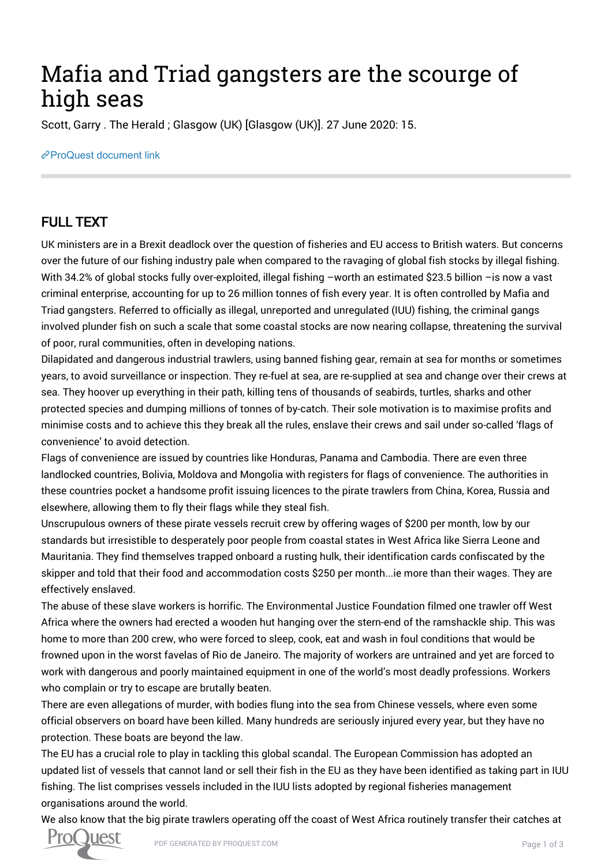## Mafia and Triad gangsters are the scourge of high seas

Scott, Garry . The Herald ; Glasgow (UK) [Glasgow (UK)]. 27 June 2020: 15.

## [ProQuest document link](http://132.174.250.227/newspapers/mafia-triad-gangsters-are-scourge-high-seas/docview/2417738997/se-2?accountid=8394)

## FULL TEXT

UK ministers are in a Brexit deadlock over the question of fisheries and EU access to British waters. But concerns over the future of our fishing industry pale when compared to the ravaging of global fish stocks by illegal fishing. With 34.2% of global stocks fully over-exploited, illegal fishing -worth an estimated \$23.5 billion -is now a vast criminal enterprise, accounting for up to 26 million tonnes of fish every year. It is often controlled by Mafia and Triad gangsters. Referred to officially as illegal, unreported and unregulated (IUU) fishing, the criminal gangs involved plunder fish on such a scale that some coastal stocks are now nearing collapse, threatening the survival of poor, rural communities, often in developing nations.

Dilapidated and dangerous industrial trawlers, using banned fishing gear, remain at sea for months or sometimes years, to avoid surveillance or inspection. They re-fuel at sea, are re-supplied at sea and change over their crews at sea. They hoover up everything in their path, killing tens of thousands of seabirds, turtles, sharks and other protected species and dumping millions of tonnes of by-catch. Their sole motivation is to maximise profits and minimise costs and to achieve this they break all the rules, enslave their crews and sail under so-called 'flags of convenience' to avoid detection.

Flags of convenience are issued by countries like Honduras, Panama and Cambodia. There are even three landlocked countries, Bolivia, Moldova and Mongolia with registers for flags of convenience. The authorities in these countries pocket a handsome profit issuing licences to the pirate trawlers from China, Korea, Russia and elsewhere, allowing them to fly their flags while they steal fish.

Unscrupulous owners of these pirate vessels recruit crew by offering wages of \$200 per month, low by our standards but irresistible to desperately poor people from coastal states in West Africa like Sierra Leone and Mauritania. They find themselves trapped onboard a rusting hulk, their identification cards confiscated by the skipper and told that their food and accommodation costs \$250 per month...ie more than their wages. They are effectively enslaved.

The abuse of these slave workers is horrific. The Environmental Justice Foundation filmed one trawler off West Africa where the owners had erected a wooden hut hanging over the stern-end of the ramshackle ship. This was home to more than 200 crew, who were forced to sleep, cook, eat and wash in foul conditions that would be frowned upon in the worst favelas of Rio de Janeiro. The majority of workers are untrained and yet are forced to work with dangerous and poorly maintained equipment in one of the world's most deadly professions. Workers who complain or try to escape are brutally beaten.

There are even allegations of murder, with bodies flung into the sea from Chinese vessels, where even some official observers on board have been killed. Many hundreds are seriously injured every year, but they have no protection. These boats are beyond the law.

The EU has a crucial role to play in tackling this global scandal. The European Commission has adopted an updated list of vessels that cannot land or sell their fish in the EU as they have been identified as taking part in IUU fishing. The list comprises vessels included in the IUU lists adopted by regional fisheries management organisations around the world.

We also know that the big pirate trawlers operating off the coast of West Africa routinely transfer their catches at

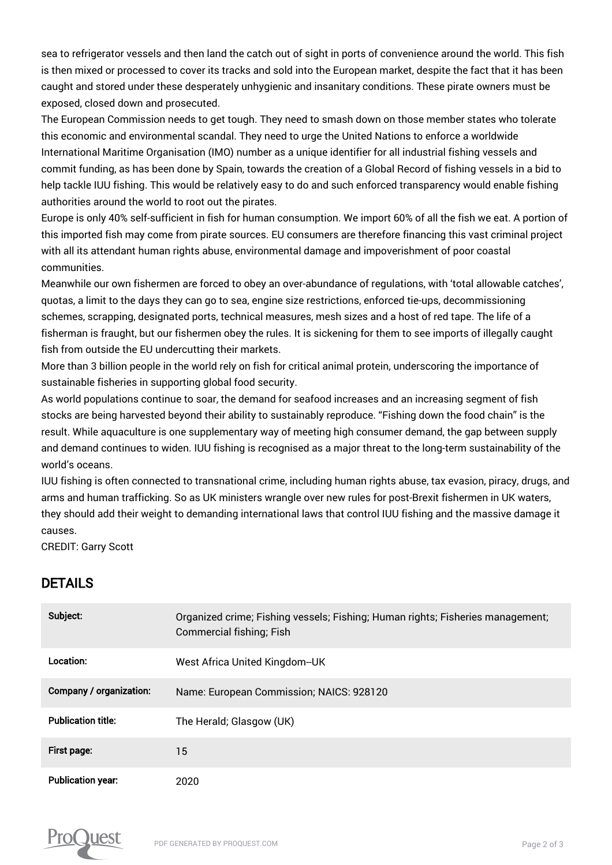sea to refrigerator vessels and then land the catch out of sight in ports of convenience around the world. This fish is then mixed or processed to cover its tracks and sold into the European market, despite the fact that it has been caught and stored under these desperately unhygienic and insanitary conditions. These pirate owners must be exposed, closed down and prosecuted.

The European Commission needs to get tough. They need to smash down on those member states who tolerate this economic and environmental scandal. They need to urge the United Nations to enforce a worldwide International Maritime Organisation (IMO) number as a unique identifier for all industrial fishing vessels and commit funding, as has been done by Spain, towards the creation of a Global Record of fishing vessels in a bid to help tackle IUU fishing. This would be relatively easy to do and such enforced transparency would enable fishing authorities around the world to root out the pirates.

Europe is only 40% self-sufficient in fish for human consumption. We import 60% of all the fish we eat. A portion of this imported fish may come from pirate sources. EU consumers are therefore financing this vast criminal project with all its attendant human rights abuse, environmental damage and impoverishment of poor coastal communities.

Meanwhile our own fishermen are forced to obey an over-abundance of regulations, with 'total allowable catches', quotas, a limit to the days they can go to sea, engine size restrictions, enforced tie-ups, decommissioning schemes, scrapping, designated ports, technical measures, mesh sizes and a host of red tape. The life of a fisherman is fraught, but our fishermen obey the rules. It is sickening for them to see imports of illegally caught fish from outside the EU undercutting their markets.

More than 3 billion people in the world rely on fish for critical animal protein, underscoring the importance of sustainable fisheries in supporting global food security.

As world populations continue to soar, the demand for seafood increases and an increasing segment of fish stocks are being harvested beyond their ability to sustainably reproduce. "Fishing down the food chain" is the result. While aquaculture is one supplementary way of meeting high consumer demand, the gap between supply and demand continues to widen. IUU fishing is recognised as a major threat to the long-term sustainability of the world's oceans.

IUU fishing is often connected to transnational crime, including human rights abuse, tax evasion, piracy, drugs, and arms and human trafficking. So as UK ministers wrangle over new rules for post-Brexit fishermen in UK waters, they should add their weight to demanding international laws that control IUU fishing and the massive damage it causes.

CREDIT: Garry Scott

## DETAILS

| Subject:                  | Organized crime; Fishing vessels; Fishing; Human rights; Fisheries management;<br><b>Commercial fishing; Fish</b> |
|---------------------------|-------------------------------------------------------------------------------------------------------------------|
| Location:                 | West Africa United Kingdom--UK                                                                                    |
| Company / organization:   | Name: European Commission; NAICS: 928120                                                                          |
| <b>Publication title:</b> | The Herald; Glasgow (UK)                                                                                          |
| First page:               | 15                                                                                                                |
| <b>Publication year:</b>  | 2020                                                                                                              |